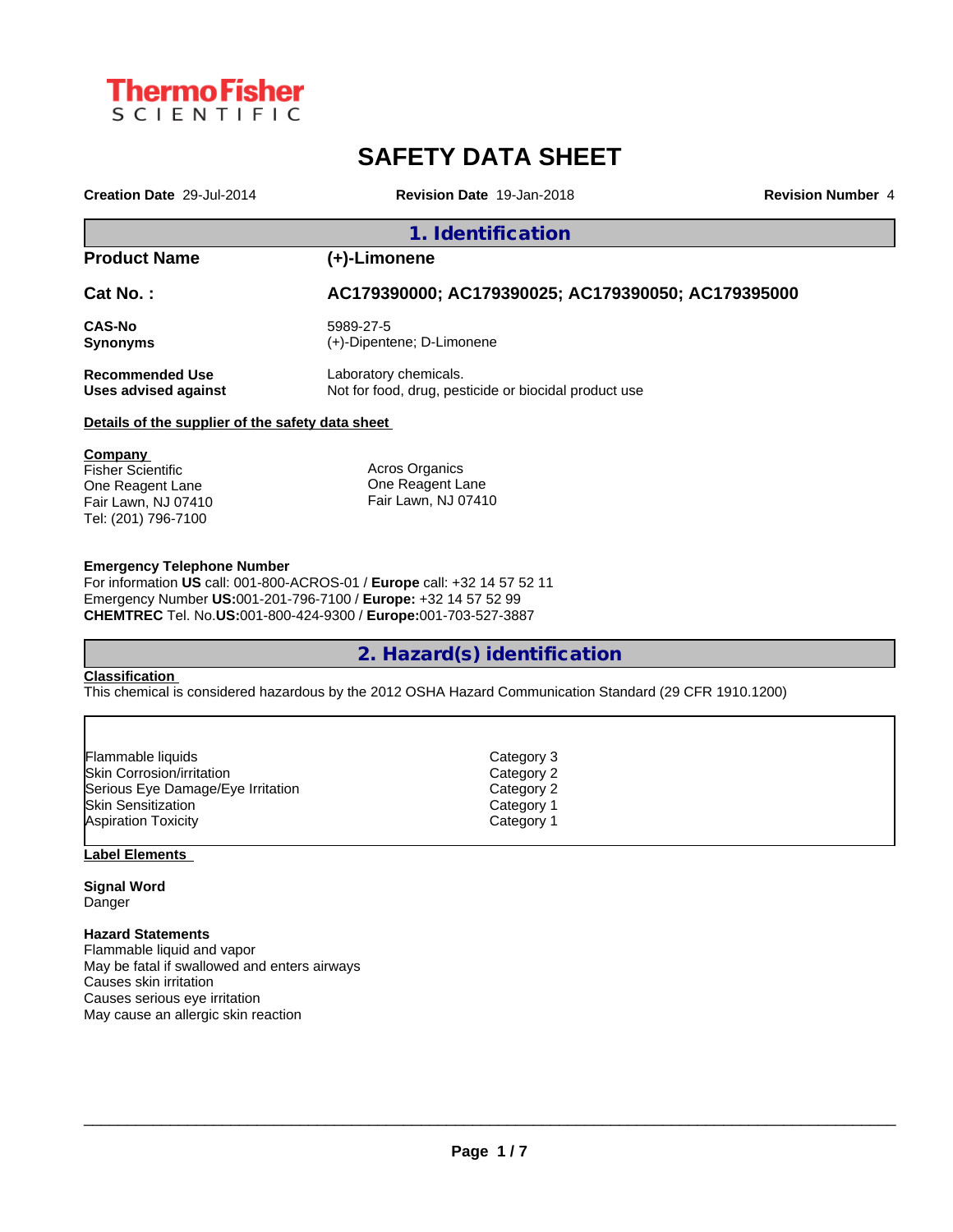

# **SAFETY DATA SHEET**

**Creation Date** 29-Jul-2014 **Revision Date** 19-Jan-2018 **Revision Number** 4

#### **1. Identification**

### **Product Name (+)-Limonene**

**Cat No. : AC179390000; AC179390025; AC179390050; AC179395000**

**CAS-No** 5989-27-5<br> **Synonyms** (+)-Dipente

**Synonyms** (+)-Dipentene; D-Limonene

**Recommended Use** Laboratory chemicals.

**Uses advised against** Not for food, drug, pesticide or biocidal product use

#### **Details of the supplier of the safety data sheet**

**Company**  Fisher Scientific One Reagent Lane Fair Lawn, NJ 07410 Tel: (201) 796-7100

Acros Organics One Reagent Lane Fair Lawn, NJ 07410

#### **Emergency Telephone Number**

For information **US** call: 001-800-ACROS-01 / **Europe** call: +32 14 57 52 11 Emergency Number **US:**001-201-796-7100 / **Europe:** +32 14 57 52 99 **CHEMTREC** Tel. No.**US:**001-800-424-9300 / **Europe:**001-703-527-3887

### **2. Hazard(s) identification**

#### **Classification**

This chemical is considered hazardous by the 2012 OSHA Hazard Communication Standard (29 CFR 1910.1200)

| Flammable liquids                 | Category 3 |  |
|-----------------------------------|------------|--|
| Skin Corrosion/irritation         | Category 2 |  |
| Serious Eye Damage/Eye Irritation | Category 2 |  |
| lSkin Sensitization               | Category 1 |  |
| <b>Aspiration Toxicity</b>        | Category 1 |  |
|                                   |            |  |

#### **Label Elements**

**Signal Word Danger** 

#### **Hazard Statements**

Flammable liquid and vapor May be fatal if swallowed and enters airways Causes skin irritation Causes serious eye irritation May cause an allergic skin reaction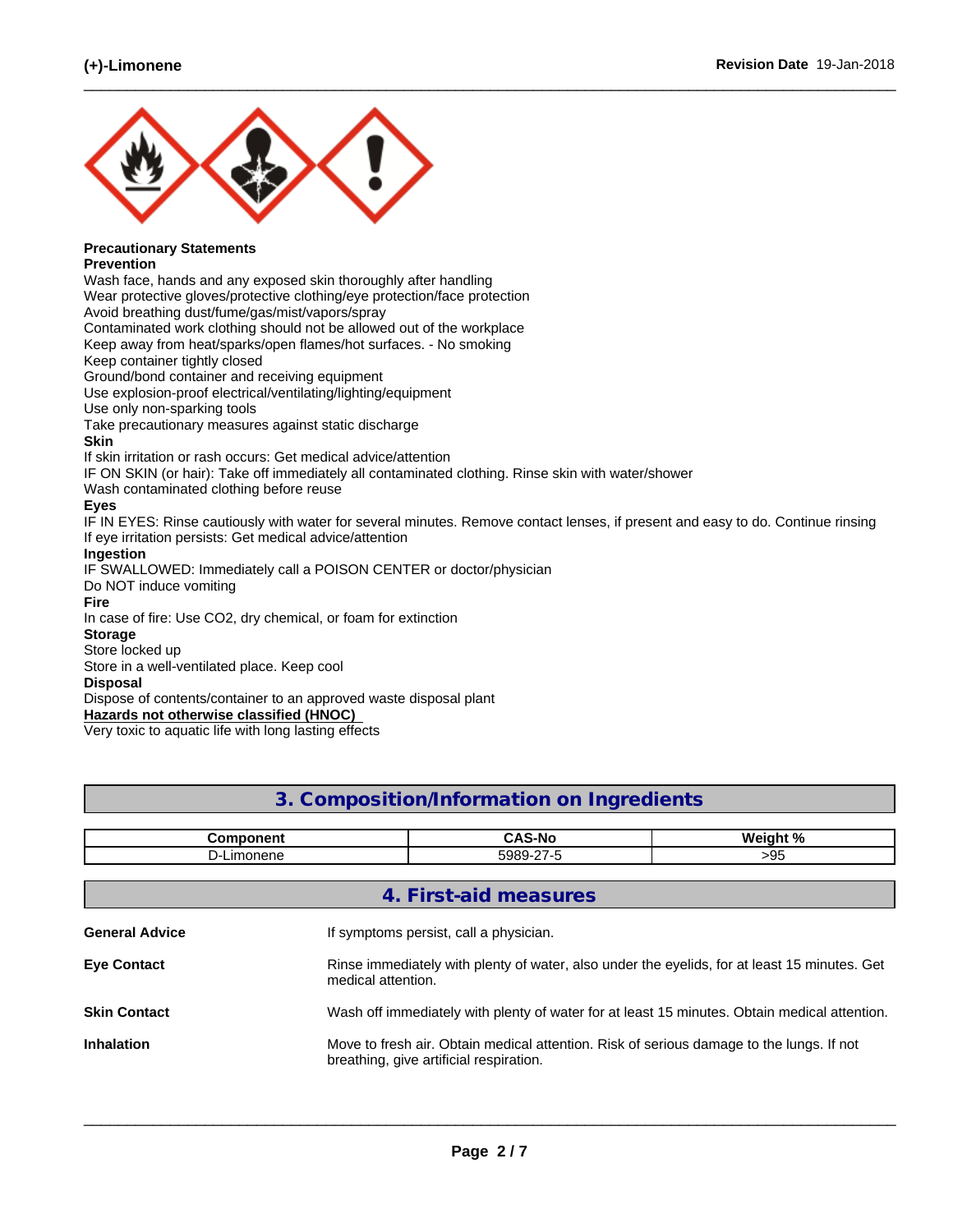

## **Precautionary Statements**

#### **Prevention**

Wash face, hands and any exposed skin thoroughly after handling Wear protective gloves/protective clothing/eye protection/face protection

Avoid breathing dust/fume/gas/mist/vapors/spray

Contaminated work clothing should not be allowed out of the workplace

Keep away from heat/sparks/open flames/hot surfaces. - No smoking

Keep container tightly closed

Ground/bond container and receiving equipment

Use explosion-proof electrical/ventilating/lighting/equipment

Use only non-sparking tools

Take precautionary measures against static discharge

#### **Skin**

If skin irritation or rash occurs: Get medical advice/attention

IF ON SKIN (or hair): Take off immediately all contaminated clothing. Rinse skin with water/shower

Wash contaminated clothing before reuse

#### **Eyes**

IF IN EYES: Rinse cautiously with water for several minutes. Remove contact lenses, if present and easy to do. Continue rinsing If eye irritation persists: Get medical advice/attention

 $\_$  ,  $\_$  ,  $\_$  ,  $\_$  ,  $\_$  ,  $\_$  ,  $\_$  ,  $\_$  ,  $\_$  ,  $\_$  ,  $\_$  ,  $\_$  ,  $\_$  ,  $\_$  ,  $\_$  ,  $\_$  ,  $\_$  ,  $\_$  ,  $\_$  ,  $\_$  ,  $\_$  ,  $\_$  ,  $\_$  ,  $\_$  ,  $\_$  ,  $\_$  ,  $\_$  ,  $\_$  ,  $\_$  ,  $\_$  ,  $\_$  ,  $\_$  ,  $\_$  ,  $\_$  ,  $\_$  ,  $\_$  ,  $\_$  ,

#### **Ingestion**

IF SWALLOWED: Immediately call a POISON CENTER or doctor/physician

Do NOT induce vomiting

#### **Fire**

In case of fire: Use CO2, dry chemical, or foam for extinction

#### **Storage**

Store locked up

Store in a well-ventilated place. Keep cool

#### **Disposal**

Dispose of contents/container to an approved waste disposal plant

#### **Hazards not otherwise classified (HNOC)**

Very toxic to aquatic life with long lasting effects

### **3. Composition/Information on Ingredients**

|                       | <b>Component</b> | <b>CAS-No</b>                                                                                                                       | Weight % |  |  |  |  |
|-----------------------|------------------|-------------------------------------------------------------------------------------------------------------------------------------|----------|--|--|--|--|
|                       | D-Limonene       | 5989-27-5                                                                                                                           | >95      |  |  |  |  |
|                       |                  |                                                                                                                                     |          |  |  |  |  |
|                       |                  | 4. First-aid measures                                                                                                               |          |  |  |  |  |
| <b>General Advice</b> |                  | If symptoms persist, call a physician.                                                                                              |          |  |  |  |  |
| <b>Eye Contact</b>    |                  | Rinse immediately with plenty of water, also under the eyelids, for at least 15 minutes. Get<br>medical attention.                  |          |  |  |  |  |
| <b>Skin Contact</b>   |                  | Wash off immediately with plenty of water for at least 15 minutes. Obtain medical attention.                                        |          |  |  |  |  |
| <b>Inhalation</b>     |                  | Move to fresh air. Obtain medical attention. Risk of serious damage to the lungs. If not<br>breathing, give artificial respiration. |          |  |  |  |  |
|                       |                  |                                                                                                                                     |          |  |  |  |  |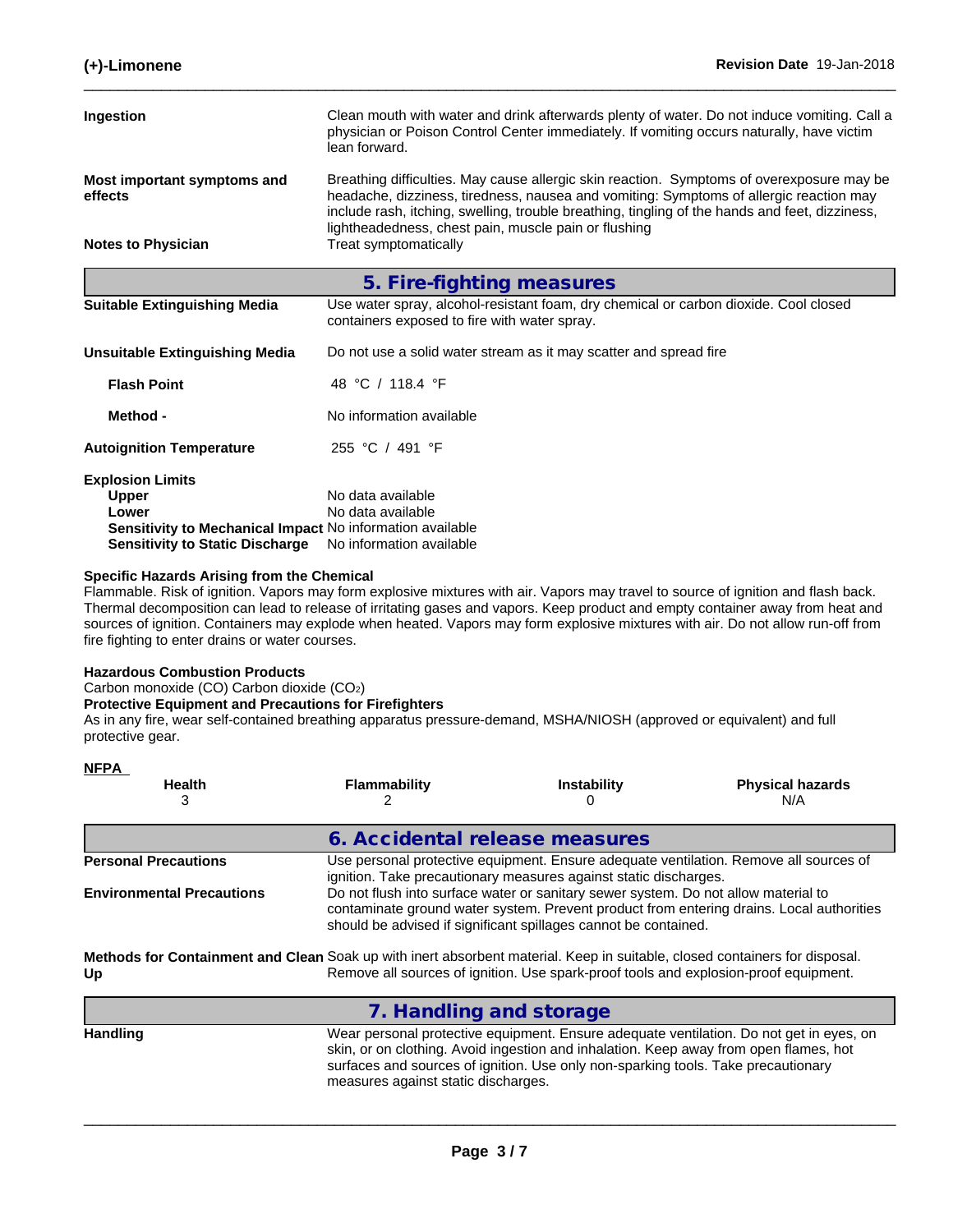| Ingestion                                                        | Clean mouth with water and drink afterwards plenty of water. Do not induce vomiting. Call a<br>physician or Poison Control Center immediately. If vomiting occurs naturally, have victim<br>lean forward.                                                                                                                                     |  |
|------------------------------------------------------------------|-----------------------------------------------------------------------------------------------------------------------------------------------------------------------------------------------------------------------------------------------------------------------------------------------------------------------------------------------|--|
| Most important symptoms and<br>effects                           | Breathing difficulties. May cause allergic skin reaction. Symptoms of overexposure may be<br>headache, dizziness, tiredness, nausea and vomiting: Symptoms of allergic reaction may<br>include rash, itching, swelling, trouble breathing, tingling of the hands and feet, dizziness,<br>lightheadedness, chest pain, muscle pain or flushing |  |
| <b>Notes to Physician</b>                                        | Treat symptomatically                                                                                                                                                                                                                                                                                                                         |  |
|                                                                  | 5. Fire-fighting measures                                                                                                                                                                                                                                                                                                                     |  |
| <b>Suitable Extinguishing Media</b>                              | Use water spray, alcohol-resistant foam, dry chemical or carbon dioxide. Cool closed<br>containers exposed to fire with water spray.                                                                                                                                                                                                          |  |
| <b>Unsuitable Extinguishing Media</b>                            | Do not use a solid water stream as it may scatter and spread fire                                                                                                                                                                                                                                                                             |  |
| <b>Flash Point</b>                                               | 48 °C / 118.4 °F                                                                                                                                                                                                                                                                                                                              |  |
| Method -                                                         | No information available                                                                                                                                                                                                                                                                                                                      |  |
| <b>Autoignition Temperature</b>                                  | 255 °C / 491 °F                                                                                                                                                                                                                                                                                                                               |  |
| <b>Explosion Limits</b>                                          |                                                                                                                                                                                                                                                                                                                                               |  |
| Upper                                                            | No data available                                                                                                                                                                                                                                                                                                                             |  |
| Lower                                                            | No data available                                                                                                                                                                                                                                                                                                                             |  |
| <b>Sensitivity to Mechanical Impact No information available</b> |                                                                                                                                                                                                                                                                                                                                               |  |

**Sensitivity to Static Discharge** No information available

#### **Specific Hazards Arising from the Chemical**

Flammable. Risk of ignition. Vapors may form explosive mixtures with air. Vapors may travel to source of ignition and flash back. Thermal decomposition can lead to release of irritating gases and vapors. Keep product and empty container away from heat and sources of ignition. Containers may explode when heated. Vapors may form explosive mixtures with air. Do not allow run-off from fire fighting to enter drains or water courses.

#### **Hazardous Combustion Products**

Carbon monoxide (CO) Carbon dioxide (CO2)

#### **Protective Equipment and Precautions for Firefighters**

As in any fire, wear self-contained breathing apparatus pressure-demand, MSHA/NIOSH (approved or equivalent) and full protective gear.

| <b>NFPA</b><br><b>Health</b><br>3 | <b>Flammability</b>                                                                                                        | <b>Instability</b>                                                                                                                                    | <b>Physical hazards</b><br>N/A                                                           |
|-----------------------------------|----------------------------------------------------------------------------------------------------------------------------|-------------------------------------------------------------------------------------------------------------------------------------------------------|------------------------------------------------------------------------------------------|
|                                   | 6. Accidental release measures                                                                                             |                                                                                                                                                       |                                                                                          |
| <b>Personal Precautions</b>       |                                                                                                                            | ignition. Take precautionary measures against static discharges.                                                                                      | Use personal protective equipment. Ensure adequate ventilation. Remove all sources of    |
| <b>Environmental Precautions</b>  |                                                                                                                            | Do not flush into surface water or sanitary sewer system. Do not allow material to<br>should be advised if significant spillages cannot be contained. | contaminate ground water system. Prevent product from entering drains. Local authorities |
| Up                                | Methods for Containment and Clean Soak up with inert absorbent material. Keep in suitable, closed containers for disposal. |                                                                                                                                                       | Remove all sources of ignition. Use spark-proof tools and explosion-proof equipment.     |
|                                   | 7. Handling and storage                                                                                                    |                                                                                                                                                       |                                                                                          |

**Handling** Wear personal protective equipment.Ensure adequate ventilation. Do not get in eyes, on skin, or on clothing. Avoid ingestion and inhalation. Keep away from open flames, hot surfaces and sources of ignition. Use only non-sparking tools. Take precautionary measures against static discharges.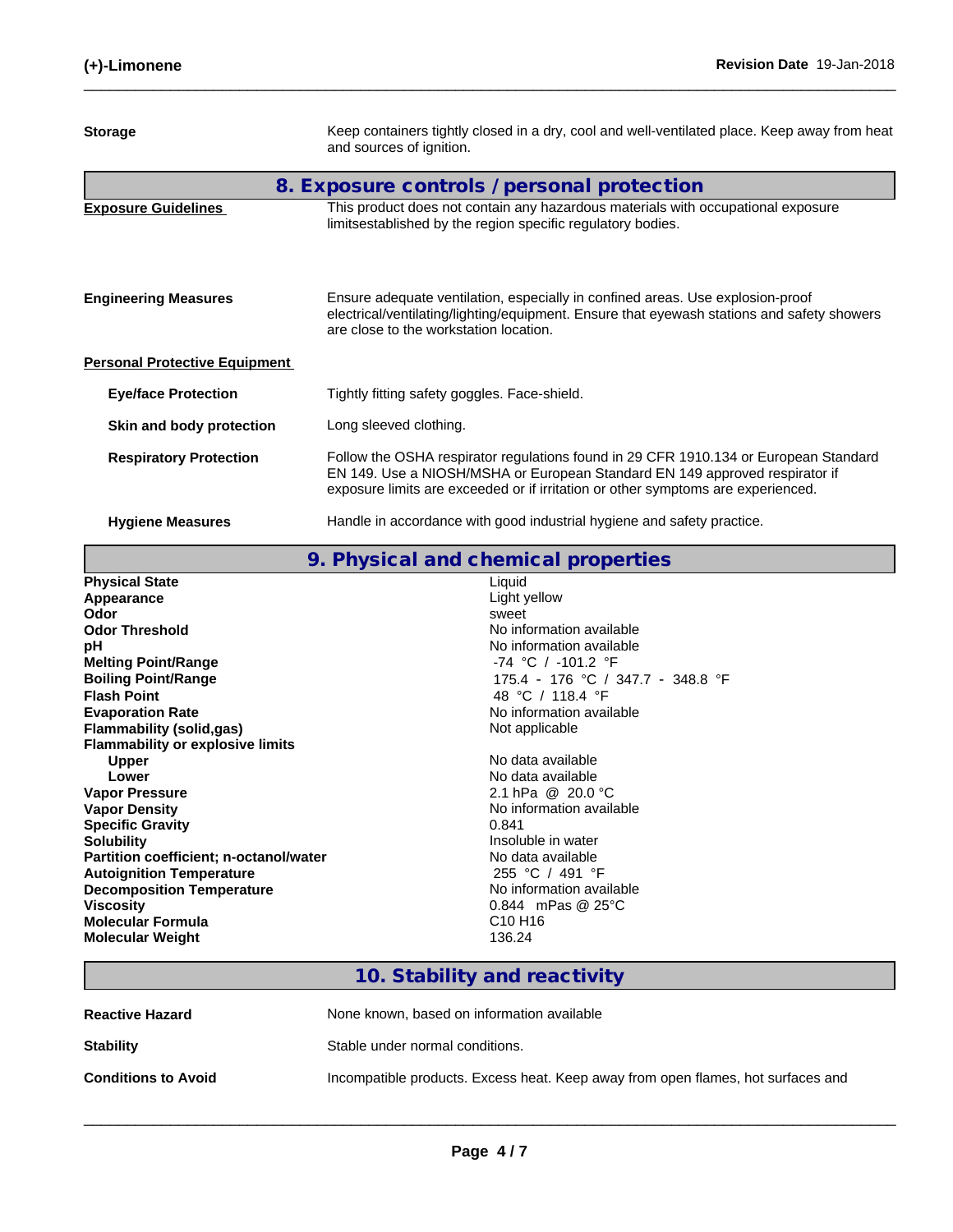| <b>Storage</b>                       | Keep containers tightly closed in a dry, cool and well-ventilated place. Keep away from heat<br>and sources of ignition.                                                                                                                                |
|--------------------------------------|---------------------------------------------------------------------------------------------------------------------------------------------------------------------------------------------------------------------------------------------------------|
|                                      | 8. Exposure controls / personal protection                                                                                                                                                                                                              |
| <b>Exposure Guidelines</b>           | This product does not contain any hazardous materials with occupational exposure<br>limitsestablished by the region specific regulatory bodies.                                                                                                         |
| <b>Engineering Measures</b>          | Ensure adequate ventilation, especially in confined areas. Use explosion-proof<br>electrical/ventilating/lighting/equipment. Ensure that eyewash stations and safety showers<br>are close to the workstation location.                                  |
| <b>Personal Protective Equipment</b> |                                                                                                                                                                                                                                                         |
| <b>Eye/face Protection</b>           | Tightly fitting safety goggles. Face-shield.                                                                                                                                                                                                            |
| Skin and body protection             | Long sleeved clothing.                                                                                                                                                                                                                                  |
| <b>Respiratory Protection</b>        | Follow the OSHA respirator regulations found in 29 CFR 1910.134 or European Standard<br>EN 149. Use a NIOSH/MSHA or European Standard EN 149 approved respirator if<br>exposure limits are exceeded or if irritation or other symptoms are experienced. |
| <b>Hygiene Measures</b>              | Handle in accordance with good industrial hygiene and safety practice.                                                                                                                                                                                  |

|                                         | 9. Physical and chemical properties |
|-----------------------------------------|-------------------------------------|
| <b>Physical State</b>                   | Liquid                              |
| Appearance                              | Light yellow                        |
| Odor                                    | sweet                               |
| <b>Odor Threshold</b>                   | No information available            |
| рH                                      | No information available            |
| <b>Melting Point/Range</b>              | -74 °C / -101.2 °F                  |
| <b>Boiling Point/Range</b>              | 175.4 - 176 °C / 347.7 - 348.8 °F   |
| <b>Flash Point</b>                      | 48 °C / 118.4 °F                    |
| <b>Evaporation Rate</b>                 | No information available            |
| <b>Flammability (solid,gas)</b>         | Not applicable                      |
| <b>Flammability or explosive limits</b> |                                     |
| <b>Upper</b>                            | No data available                   |
| Lower                                   | No data available                   |
| <b>Vapor Pressure</b>                   | 2.1 hPa @ 20.0 °C                   |
| <b>Vapor Density</b>                    | No information available            |
| <b>Specific Gravity</b>                 | 0.841                               |
| <b>Solubility</b>                       | Insoluble in water                  |
| Partition coefficient; n-octanol/water  | No data available                   |
| <b>Autoignition Temperature</b>         | 255 °C / 491 °F                     |
| <b>Decomposition Temperature</b>        | No information available            |
| <b>Viscosity</b>                        | 0.844 mPas $@25°C$                  |
| <b>Molecular Formula</b>                | C <sub>10</sub> H <sub>16</sub>     |
| <b>Molecular Weight</b>                 | 136.24                              |
|                                         |                                     |

# **10. Stability and reactivity**

| <b>Reactive Hazard</b>     | None known, based on information available                                       |
|----------------------------|----------------------------------------------------------------------------------|
| <b>Stability</b>           | Stable under normal conditions.                                                  |
| <b>Conditions to Avoid</b> | Incompatible products. Excess heat. Keep away from open flames, hot surfaces and |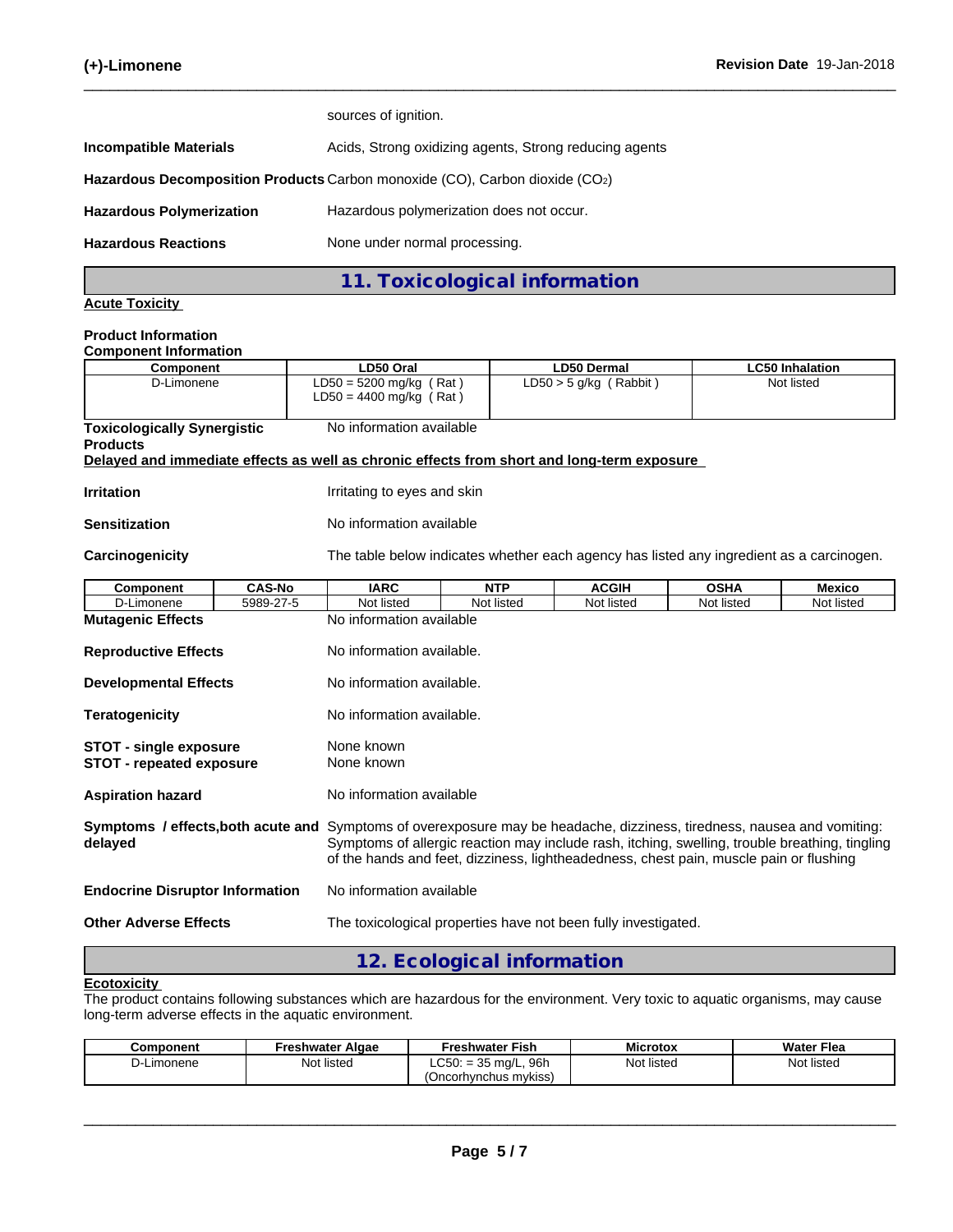|                                 | 11. Toxicological information                                               |
|---------------------------------|-----------------------------------------------------------------------------|
| <b>Hazardous Reactions</b>      | None under normal processing.                                               |
| <b>Hazardous Polymerization</b> | Hazardous polymerization does not occur.                                    |
|                                 | Hazardous Decomposition Products Carbon monoxide (CO), Carbon dioxide (CO2) |
| <b>Incompatible Materials</b>   | Acids, Strong oxidizing agents, Strong reducing agents                      |
|                                 | sources of ignition.                                                        |

#### **Acute Toxicity**

#### **Product Information Component Information**

|                                                                  |               |                                                                                            |                                                                                                                                                                                                                                                                                  |                                         | <b>LC50 Inhalation</b> |               |  |  |  |
|------------------------------------------------------------------|---------------|--------------------------------------------------------------------------------------------|----------------------------------------------------------------------------------------------------------------------------------------------------------------------------------------------------------------------------------------------------------------------------------|-----------------------------------------|------------------------|---------------|--|--|--|
| <b>Component</b><br>D-Limonene                                   |               | LD50 Oral<br>$LD50 = 5200$ mg/kg (Rat)                                                     |                                                                                                                                                                                                                                                                                  | LD50 Dermal<br>$LD50 > 5$ g/kg (Rabbit) |                        | Not listed    |  |  |  |
|                                                                  |               | $LD50 = 4400$ mg/kg (Rat)                                                                  |                                                                                                                                                                                                                                                                                  |                                         |                        |               |  |  |  |
| <b>Toxicologically Synergistic</b>                               |               | No information available                                                                   |                                                                                                                                                                                                                                                                                  |                                         |                        |               |  |  |  |
| <b>Products</b>                                                  |               |                                                                                            |                                                                                                                                                                                                                                                                                  |                                         |                        |               |  |  |  |
|                                                                  |               | Delayed and immediate effects as well as chronic effects from short and long-term exposure |                                                                                                                                                                                                                                                                                  |                                         |                        |               |  |  |  |
| <b>Irritation</b>                                                |               | Irritating to eyes and skin                                                                |                                                                                                                                                                                                                                                                                  |                                         |                        |               |  |  |  |
| <b>Sensitization</b>                                             |               | No information available                                                                   |                                                                                                                                                                                                                                                                                  |                                         |                        |               |  |  |  |
| Carcinogenicity                                                  |               | The table below indicates whether each agency has listed any ingredient as a carcinogen.   |                                                                                                                                                                                                                                                                                  |                                         |                        |               |  |  |  |
| <b>Component</b>                                                 | <b>CAS-No</b> | <b>IARC</b>                                                                                | <b>NTP</b>                                                                                                                                                                                                                                                                       | <b>ACGIH</b>                            | <b>OSHA</b>            | <b>Mexico</b> |  |  |  |
| D-Limonene                                                       | 5989-27-5     | Not listed                                                                                 | Not listed                                                                                                                                                                                                                                                                       | Not listed                              | Not listed             | Not listed    |  |  |  |
| <b>Mutagenic Effects</b>                                         |               |                                                                                            | No information available                                                                                                                                                                                                                                                         |                                         |                        |               |  |  |  |
| <b>Reproductive Effects</b>                                      |               | No information available.                                                                  |                                                                                                                                                                                                                                                                                  |                                         |                        |               |  |  |  |
| <b>Developmental Effects</b>                                     |               | No information available.                                                                  |                                                                                                                                                                                                                                                                                  |                                         |                        |               |  |  |  |
| <b>Teratogenicity</b>                                            |               |                                                                                            | No information available.                                                                                                                                                                                                                                                        |                                         |                        |               |  |  |  |
| <b>STOT - single exposure</b><br><b>STOT - repeated exposure</b> |               | None known<br>None known                                                                   |                                                                                                                                                                                                                                                                                  |                                         |                        |               |  |  |  |
| <b>Aspiration hazard</b>                                         |               |                                                                                            | No information available                                                                                                                                                                                                                                                         |                                         |                        |               |  |  |  |
| Symptoms / effects, both acute and<br>delayed                    |               |                                                                                            | Symptoms of overexposure may be headache, dizziness, tiredness, nausea and vomiting:<br>Symptoms of allergic reaction may include rash, itching, swelling, trouble breathing, tingling<br>of the hands and feet, dizziness, lightheadedness, chest pain, muscle pain or flushing |                                         |                        |               |  |  |  |
| <b>Endocrine Disruptor Information</b>                           |               | No information available                                                                   |                                                                                                                                                                                                                                                                                  |                                         |                        |               |  |  |  |
| <b>Other Adverse Effects</b>                                     |               | The toxicological properties have not been fully investigated.                             |                                                                                                                                                                                                                                                                                  |                                         |                        |               |  |  |  |

# **12. Ecological information**

#### **Ecotoxicity**

The product contains following substances which are hazardous for the environment. Very toxic to aquatic organisms, may cause long-term adverse effects in the aquatic environment.

| Component       | Freshwater Algae | <b>Freshwater Fish</b>                                                               | <b>Microtox</b> | <b>Water Flea</b> |
|-----------------|------------------|--------------------------------------------------------------------------------------|-----------------|-------------------|
| Limonene<br>י-ب | Not listed       | 96 <sub>r</sub><br>$\cap$ <sub><math>\cap</math></sub> .<br>25<br>$LC50: = 35$ mg/L, | Not listed      | Not listed        |
|                 |                  | (Oncorhvnchus mvkiss)                                                                |                 |                   |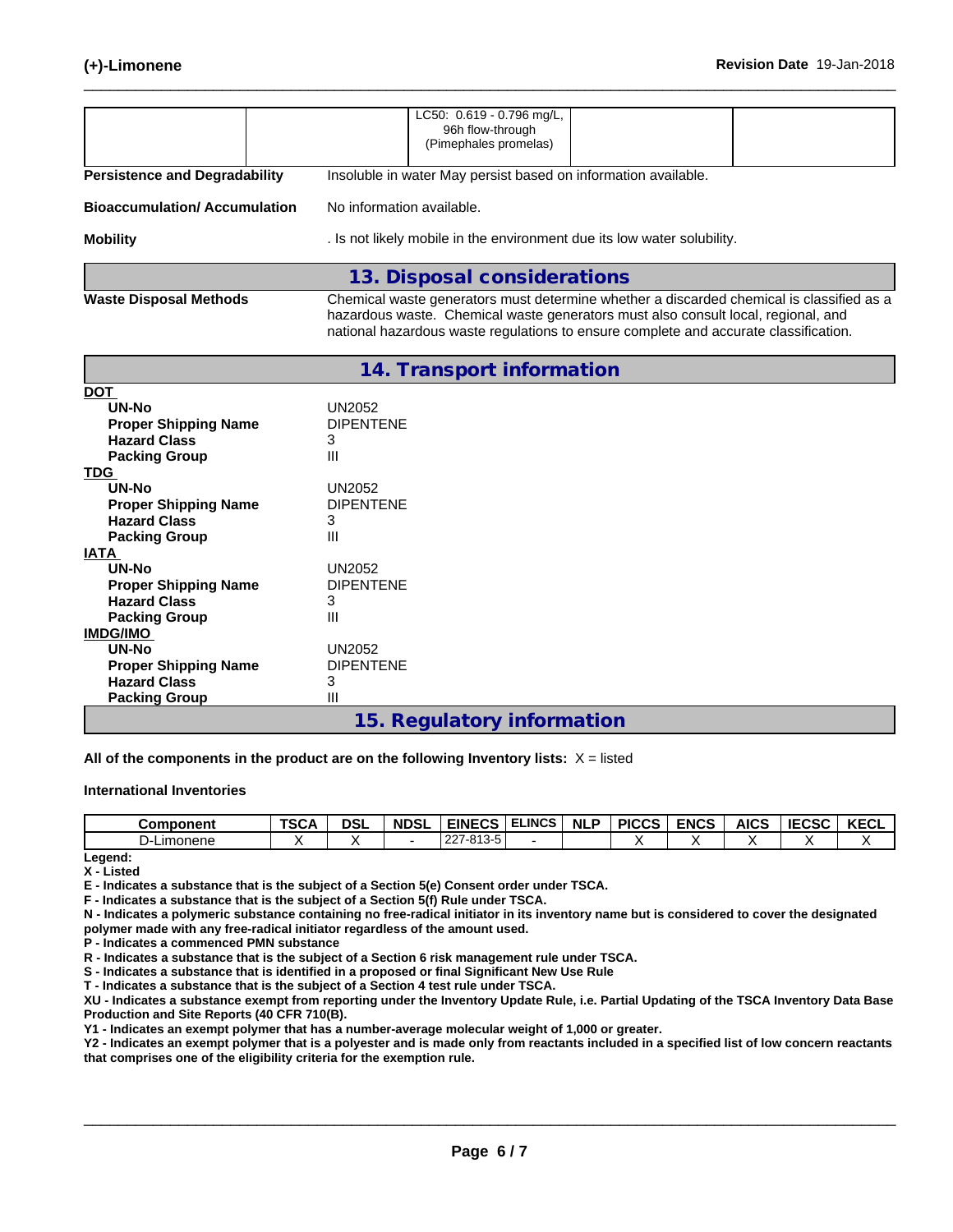|                                                                                     | LC50: 0.619 - 0.796 mg/L,<br>96h flow-through<br>(Pimephales promelas)                                                                                                                                                                                                |  |  |  |  |  |  |
|-------------------------------------------------------------------------------------|-----------------------------------------------------------------------------------------------------------------------------------------------------------------------------------------------------------------------------------------------------------------------|--|--|--|--|--|--|
| <b>Persistence and Degradability</b>                                                | Insoluble in water May persist based on information available.                                                                                                                                                                                                        |  |  |  |  |  |  |
| <b>Bioaccumulation/Accumulation</b>                                                 | No information available.                                                                                                                                                                                                                                             |  |  |  |  |  |  |
| <b>Mobility</b>                                                                     | . Is not likely mobile in the environment due its low water solubility.                                                                                                                                                                                               |  |  |  |  |  |  |
|                                                                                     | 13. Disposal considerations                                                                                                                                                                                                                                           |  |  |  |  |  |  |
| <b>Waste Disposal Methods</b>                                                       | Chemical waste generators must determine whether a discarded chemical is classified as a<br>hazardous waste. Chemical waste generators must also consult local, regional, and<br>national hazardous waste regulations to ensure complete and accurate classification. |  |  |  |  |  |  |
|                                                                                     | 14. Transport information                                                                                                                                                                                                                                             |  |  |  |  |  |  |
| <b>DOT</b>                                                                          |                                                                                                                                                                                                                                                                       |  |  |  |  |  |  |
| UN-No<br><b>Proper Shipping Name</b><br><b>Hazard Class</b><br><b>Packing Group</b> | <b>UN2052</b><br><b>DIPENTENE</b><br>3<br>Ш                                                                                                                                                                                                                           |  |  |  |  |  |  |
| <b>TDG</b>                                                                          |                                                                                                                                                                                                                                                                       |  |  |  |  |  |  |
| UN-No<br><b>Proper Shipping Name</b><br><b>Hazard Class</b><br><b>Packing Group</b> | <b>UN2052</b><br><b>DIPENTENE</b><br>3<br>Ш                                                                                                                                                                                                                           |  |  |  |  |  |  |
| <b>IATA</b>                                                                         |                                                                                                                                                                                                                                                                       |  |  |  |  |  |  |
| UN-No<br><b>Proper Shipping Name</b><br><b>Hazard Class</b><br><b>Packing Group</b> | <b>UN2052</b><br><b>DIPENTENE</b><br>3<br>Ш                                                                                                                                                                                                                           |  |  |  |  |  |  |
| <b>IMDG/IMO</b>                                                                     |                                                                                                                                                                                                                                                                       |  |  |  |  |  |  |
| <b>UN-No</b><br><b>Proper Shipping Name</b><br><b>Hazard Class</b>                  | <b>UN2052</b><br><b>DIPENTENE</b><br>3<br>Ш                                                                                                                                                                                                                           |  |  |  |  |  |  |
| <b>Packing Group</b>                                                                |                                                                                                                                                                                                                                                                       |  |  |  |  |  |  |

#### **15. Regulatory information**

**All of the components in the product are on the following Inventory lists:** X = listed

#### **International Inventories**

| Component | TOP<br>י אט | <b>DSL</b> | <b>NDSL</b> | <b>EINECS</b>                               | <b>ELINCS</b> | <b>NLF</b> | <b>DICCS</b><br>טשו | <b>ENCS</b> | <b>AICS</b> | I E C C<br><br>にしつし | <b>KECL</b> |
|-----------|-------------|------------|-------------|---------------------------------------------|---------------|------------|---------------------|-------------|-------------|---------------------|-------------|
| imonene   |             |            |             | 227.012.5<br>$\sim$<br>، ے ک<br>טוס-<br>- 1 |               |            |                     |             |             |                     |             |

**Legend:**

**X - Listed**

**E - Indicates a substance that is the subject of a Section 5(e) Consent order under TSCA.**

**F - Indicates a substance that is the subject of a Section 5(f) Rule under TSCA.**

**N - Indicates a polymeric substance containing no free-radical initiator in its inventory name but is considered to cover the designated polymer made with any free-radical initiator regardless of the amount used.**

**P - Indicates a commenced PMN substance**

**R - Indicates a substance that is the subject of a Section 6 risk management rule under TSCA.**

**S - Indicates a substance that is identified in a proposed or final Significant New Use Rule**

**T - Indicates a substance that is the subject of a Section 4 test rule under TSCA.**

**XU - Indicates a substance exempt from reporting under the Inventory Update Rule, i.e. Partial Updating of the TSCA Inventory Data Base Production and Site Reports (40 CFR 710(B).**

**Y1 - Indicates an exempt polymer that has a number-average molecular weight of 1,000 or greater.**

**Y2 - Indicates an exempt polymer that is a polyester and is made only from reactants included in a specified list of low concern reactants that comprises one of the eligibility criteria for the exemption rule.**